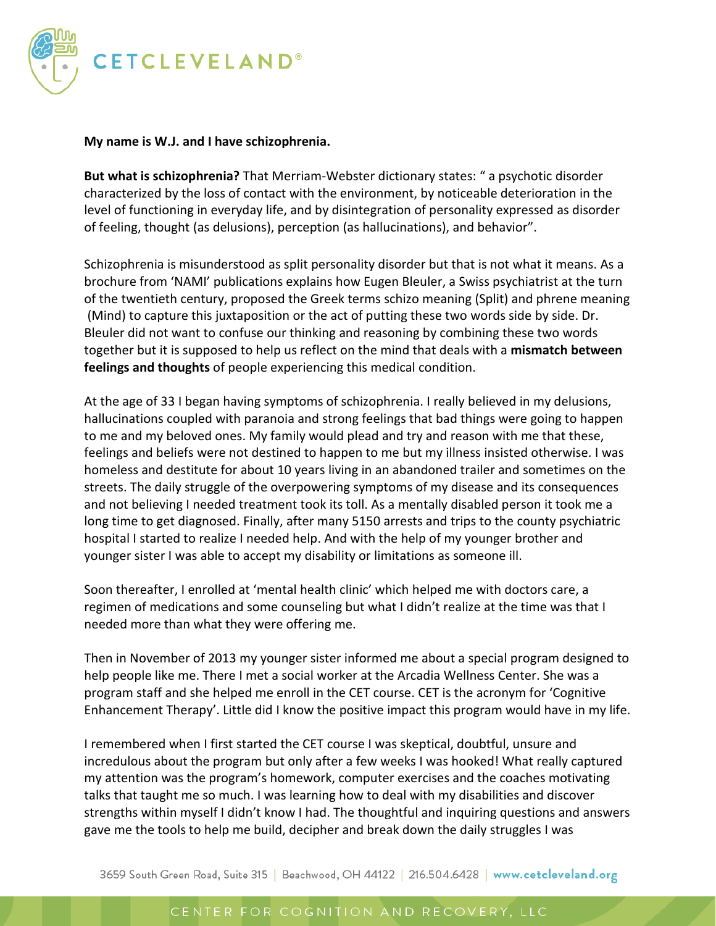

## **My name is W.J. and I have schizophrenia.**

**But what is schizophrenia?** That Merriam-Webster dictionary states: " a psychotic disorder characterized by the loss of contact with the environment, by noticeable deterioration in the level of functioning in everyday life, and by disintegration of personality expressed as disorder of feeling, thought (as delusions), perception (as hallucinations), and behavior".

Schizophrenia is misunderstood as split personality disorder but that is not what it means. As a brochure from 'NAMI' publications explains how Eugen Bleuler, a Swiss psychiatrist at the turn of the twentieth century, proposed the Greek terms schizo meaning (Split) and phrene meaning (Mind) to capture this juxtaposition or the act of putting these two words side by side. Dr. Bleuler did not want to confuse our thinking and reasoning by combining these two words together but it is supposed to help us reflect on the mind that deals with a **mismatch between feelings and thoughts** of people experiencing this medical condition.

At the age of 33 I began having symptoms of schizophrenia. I really believed in my delusions, hallucinations coupled with paranoia and strong feelings that bad things were going to happen to me and my beloved ones. My family would plead and try and reason with me that these, feelings and beliefs were not destined to happen to me but my illness insisted otherwise. I was homeless and destitute for about 10 years living in an abandoned trailer and sometimes on the streets. The daily struggle of the overpowering symptoms of my disease and its consequences and not believing I needed treatment took its toll. As a mentally disabled person it took me a long time to get diagnosed. Finally, after many 5150 arrests and trips to the county psychiatric hospital I started to realize I needed help. And with the help of my younger brother and younger sister I was able to accept my disability or limitations as someone ill.

Soon thereafter, I enrolled at 'mental health clinic' which helped me with doctors care, a regimen of medications and some counseling but what I didn't realize at the time was that I needed more than what they were offering me.

Then in November of 2013 my younger sister informed me about a special program designed to help people like me. There I met a social worker at the Arcadia Wellness Center. She was a program staff and she helped me enroll in the CET course. CET is the acronym for 'Cognitive Enhancement Therapy'. Little did I know the positive impact this program would have in my life.

I remembered when I first started the CET course I was skeptical, doubtful, unsure and incredulous about the program but only after a few weeks I was hooked! What really captured my attention was the program's homework, computer exercises and the coaches motivating talks that taught me so much. I was learning how to deal with my disabilities and discover strengths within myself I didn't know I had. The thoughtful and inquiring questions and answers gave me the tools to help me build, decipher and break down the daily struggles I was

3659 South Green Road, Suite 315 | Beachwood, OH 44122 | 216.504.6428 | www.cetcleveland.org

## CENTER FOR COGNITION AND RECOVERY, LLC